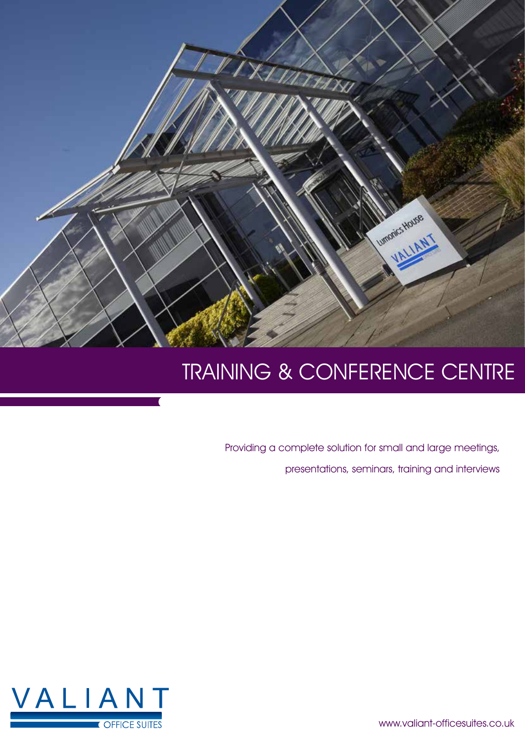

# TRAINING & CONFERENCE CENTRE

Providing a complete solution for small and large meetings, presentations, seminars, training and interviews



www.valiant-officesuites.co.uk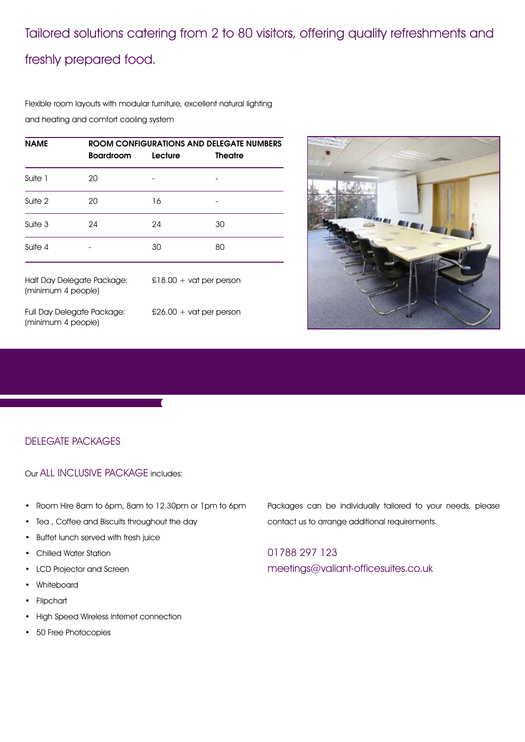## Tailored solutions catering from 2 to 80 visitors, offering quality refreshments and freshly prepared food.

Flexible room layouts with modular furniture, excellent natural lighting and heating and comfort cooling system

| <b>NAME</b>                                      | ROOM CONFIGURATIONS AND DELEGATE NUMBERS |                           |                |  |
|--------------------------------------------------|------------------------------------------|---------------------------|----------------|--|
|                                                  | <b>Boardroom</b>                         | Lecture                   | <b>Theatre</b> |  |
| Suite 1                                          | 20                                       |                           |                |  |
| Suite 2                                          | 20                                       | 16                        |                |  |
| Suite 3                                          | 24                                       | 24                        | 30             |  |
| Suite 4                                          |                                          | 30                        | 80             |  |
| Half Day Delegate Package:<br>(minimum 4 people) |                                          | $£18.00 + vat$ per person |                |  |



Full Day Delegate Package: £26.00 + vat per person (minimum 4 people)

#### DELEGATE PACKAGES

Our ALL INCLUSIVE PACKAGE includes:

- • Room Hire 8am to 6pm, 8am to 12.30pm or 1pm to 6pm
- Tea, Coffee and Biscuits throughout the day
- • Buffet lunch served with fresh juice
- • Chilled Water Station
- • LCD Projector and Screen
- • Whiteboard
- • Flipchart
- High Speed Wireless Internet connection
- • 50 Free Photocopies

Packages can be individually tailored to your needs, please contact us to arrange additional requirements.

01788 297 123 meetings@valiant-officesuites.co.uk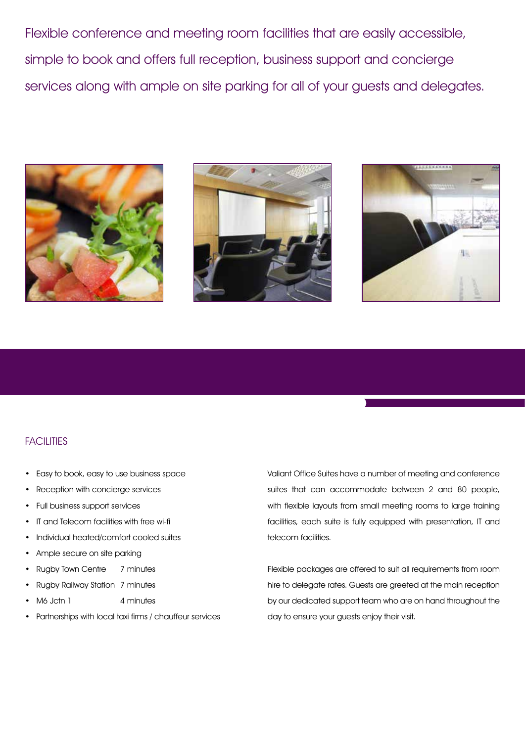Flexible conference and meeting room facilities that are easily accessible, simple to book and offers full reception, business support and concierge services along with ample on site parking for all of your guests and delegates.







#### **FACILITIES**

- Easy to book, easy to use business space
- Reception with concierge services
- • Full business support services
- • IT and Telecom facilities with free wi-fi
- Individual heated/comfort cooled suites
- Ample secure on site parking
- Rugby Town Centre 7 minutes
- Rugby Railway Station 7 minutes
- M6 Jctn 1 4 minutes
- Partnerships with local taxi firms / chauffeur services

Valiant Office Suites have a number of meeting and conference suites that can accommodate between 2 and 80 people, with flexible layouts from small meeting rooms to large training facilities, each suite is fully equipped with presentation, IT and telecom facilities.

Flexible packages are offered to suit all requirements from room hire to delegate rates. Guests are greeted at the main reception by our dedicated support team who are on hand throughout the day to ensure your guests enjoy their visit.